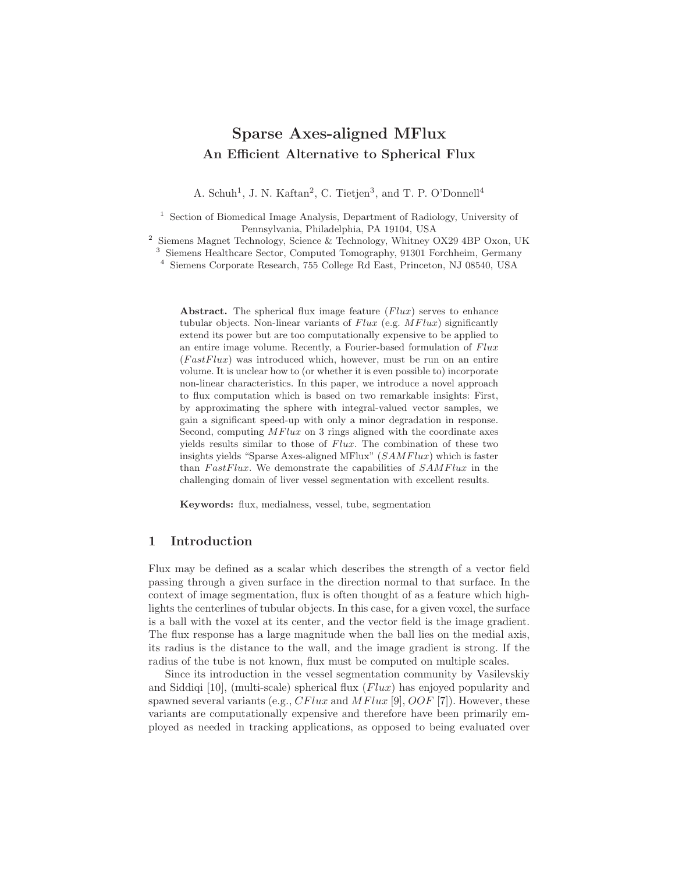# Sparse Axes-aligned MFlux An Efficient Alternative to Spherical Flux

A. Schuh<sup>1</sup>, J. N. Kaftan<sup>2</sup>, C. Tietjen<sup>3</sup>, and T. P. O'Donnell<sup>4</sup>

<sup>1</sup> Section of Biomedical Image Analysis, Department of Radiology, University of Pennsylvania, Philadelphia, PA 19104, USA

2 Siemens Magnet Technology, Science & Technology, Whitney OX29 4BP Oxon, UK

<sup>3</sup> Siemens Healthcare Sector, Computed Tomography, 91301 Forchheim, Germany

4 Siemens Corporate Research, 755 College Rd East, Princeton, NJ 08540, USA

Abstract. The spherical flux image feature  $(Flux)$  serves to enhance tubular objects. Non-linear variants of  $Flux$  (e.g.  $MFlux$ ) significantly extend its power but are too computationally expensive to be applied to an entire image volume. Recently, a Fourier-based formulation of  $Flux$  $(FastFlux)$  was introduced which, however, must be run on an entire volume. It is unclear how to (or whether it is even possible to) incorporate non-linear characteristics. In this paper, we introduce a novel approach to flux computation which is based on two remarkable insights: First, by approximating the sphere with integral-valued vector samples, we gain a significant speed-up with only a minor degradation in response. Second, computing  $MFlux$  on 3 rings aligned with the coordinate axes yields results similar to those of  $Flux$ . The combination of these two insights yields "Sparse Axes-aligned MFlux"  $(SAMFlux)$  which is faster than  $FastFlux$ . We demonstrate the capabilities of  $SAMFlux$  in the challenging domain of liver vessel segmentation with excellent results.

Keywords: flux, medialness, vessel, tube, segmentation

### 1 Introduction

Flux may be defined as a scalar which describes the strength of a vector field passing through a given surface in the direction normal to that surface. In the context of image segmentation, flux is often thought of as a feature which highlights the centerlines of tubular objects. In this case, for a given voxel, the surface is a ball with the voxel at its center, and the vector field is the image gradient. The flux response has a large magnitude when the ball lies on the medial axis, its radius is the distance to the wall, and the image gradient is strong. If the radius of the tube is not known, flux must be computed on multiple scales.

Since its introduction in the vessel segmentation community by Vasilevskiy and Siddiqi [10], (multi-scale) spherical flux  $(Flux)$  has enjoyed popularity and spawned several variants (e.g.,  $CFlux$  and  $MFlux$  [9],  $OOF$  [7]). However, these variants are computationally expensive and therefore have been primarily employed as needed in tracking applications, as opposed to being evaluated over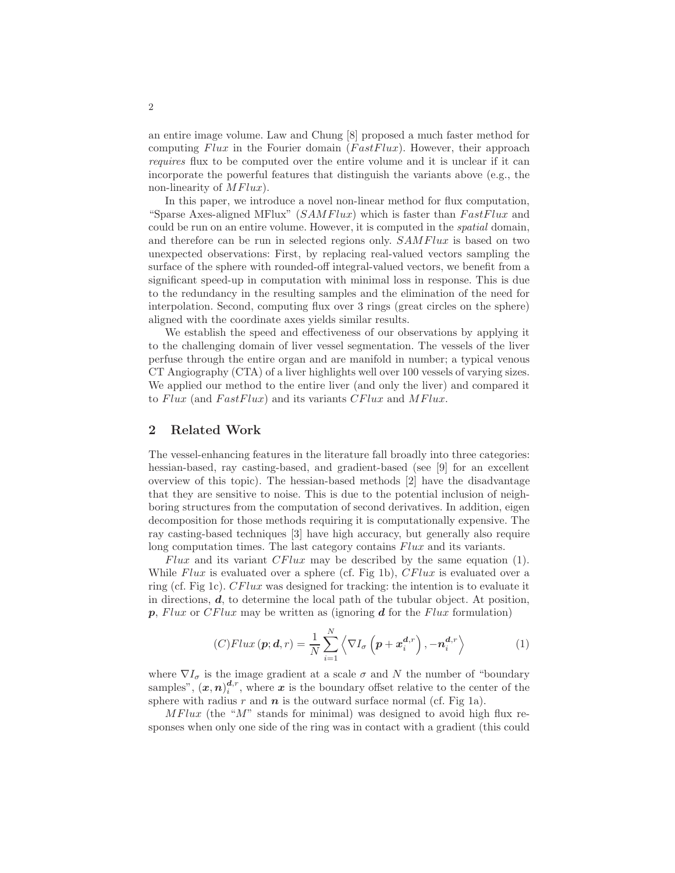an entire image volume. Law and Chung [8] proposed a much faster method for computing  $Flux$  in the Fourier domain  $(FastFlux)$ . However, their approach requires flux to be computed over the entire volume and it is unclear if it can incorporate the powerful features that distinguish the variants above (e.g., the non-linearity of  $MFlux$ ).

In this paper, we introduce a novel non-linear method for flux computation, "Sparse Axes-aligned MFlux"  $(SAMFlux)$  which is faster than  $FastFlux$  and could be run on an entire volume. However, it is computed in the *spatial* domain, and therefore can be run in selected regions only.  $SAMFlux$  is based on two unexpected observations: First, by replacing real-valued vectors sampling the surface of the sphere with rounded-off integral-valued vectors, we benefit from a significant speed-up in computation with minimal loss in response. This is due to the redundancy in the resulting samples and the elimination of the need for interpolation. Second, computing flux over 3 rings (great circles on the sphere) aligned with the coordinate axes yields similar results.

We establish the speed and effectiveness of our observations by applying it to the challenging domain of liver vessel segmentation. The vessels of the liver perfuse through the entire organ and are manifold in number; a typical venous CT Angiography (CTA) of a liver highlights well over 100 vessels of varying sizes. We applied our method to the entire liver (and only the liver) and compared it to  $Flux$  (and  $FastFlux$ ) and its variants  $CFlux$  and  $MFlux$ .

# 2 Related Work

The vessel-enhancing features in the literature fall broadly into three categories: hessian-based, ray casting-based, and gradient-based (see [9] for an excellent overview of this topic). The hessian-based methods [2] have the disadvantage that they are sensitive to noise. This is due to the potential inclusion of neighboring structures from the computation of second derivatives. In addition, eigen decomposition for those methods requiring it is computationally expensive. The ray casting-based techniques [3] have high accuracy, but generally also require long computation times. The last category contains  $Flux$  and its variants.

Flux and its variant  $CFlux$  may be described by the same equation (1). While Flux is evaluated over a sphere (cf. Fig 1b),  $CFlux$  is evaluated over a ring (cf. Fig 1c). CFlux was designed for tracking: the intention is to evaluate it in directions,  $d$ , to determine the local path of the tubular object. At position,  $p$ , Flux or CFlux may be written as (ignoring  $d$  for the Flux formulation)

$$
(C)Flux\left(\boldsymbol{p};\boldsymbol{d},r\right) = \frac{1}{N} \sum_{i=1}^{N} \left\langle \nabla I_{\sigma} \left(\boldsymbol{p} + \boldsymbol{x}_{i}^{\boldsymbol{d},r}\right), -\boldsymbol{n}_{i}^{\boldsymbol{d},r} \right\rangle \tag{1}
$$

where  $\nabla I_{\sigma}$  is the image gradient at a scale  $\sigma$  and N the number of "boundary" samples",  $(x, n)$ <sup>d,r</sup>, where x is the boundary offset relative to the center of the sphere with radius  $r$  and  $n$  is the outward surface normal (cf. Fig 1a).

 $MFlux$  (the " $M$ " stands for minimal) was designed to avoid high flux responses when only one side of the ring was in contact with a gradient (this could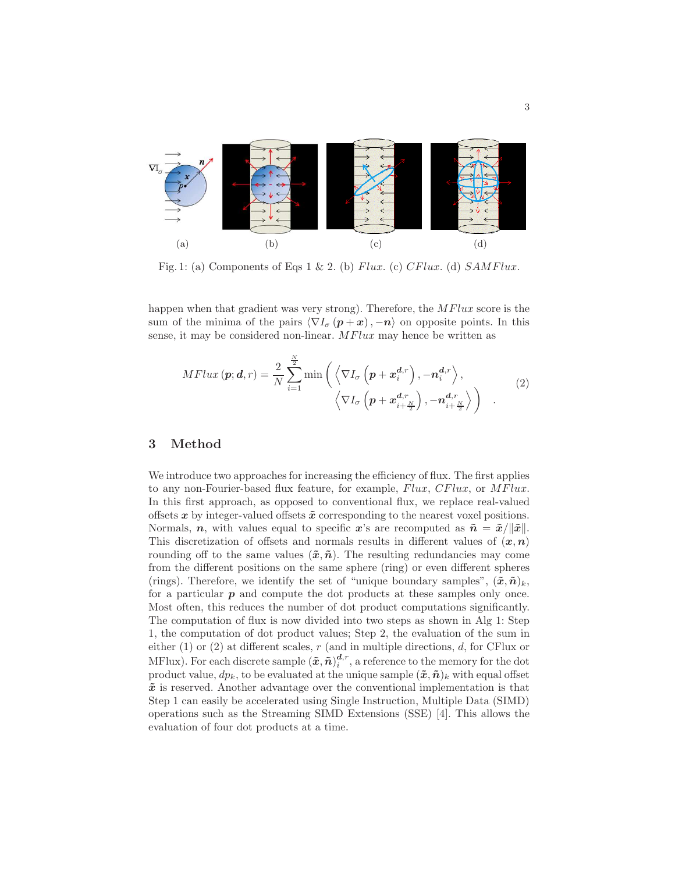

Fig. 1: (a) Components of Eqs 1 & 2. (b) Flux. (c) CFlux. (d)  $SAMFlux$ .

happen when that gradient was very strong). Therefore, the  $MFlux$  score is the sum of the minima of the pairs  $\langle \nabla I_{\sigma} (p + x), -n \rangle$  on opposite points. In this sense, it may be considered non-linear.  $MFlux$  may hence be written as

$$
MFlux(\mathbf{p}; \mathbf{d}, r) = \frac{2}{N} \sum_{i=1}^{\frac{N}{2}} \min \left( \left\langle \nabla I_{\sigma} \left( \mathbf{p} + \mathbf{x}_{i}^{\mathbf{d}, r} \right), -\mathbf{n}_{i}^{\mathbf{d}, r} \right\rangle, \left\langle \nabla I_{\sigma} \left( \mathbf{p} + \mathbf{x}_{i+\frac{N}{2}}^{\mathbf{d}, r} \right), -\mathbf{n}_{i+\frac{N}{2}}^{\mathbf{d}, r} \right\rangle \right) . \tag{2}
$$

# 3 Method

We introduce two approaches for increasing the efficiency of flux. The first applies to any non-Fourier-based flux feature, for example, Flux, CFlux, or MFlux. In this first approach, as opposed to conventional flux, we replace real-valued offsets  $x$  by integer-valued offsets  $\tilde{x}$  corresponding to the nearest voxel positions. Normals, n, with values equal to specific x's are recomputed as  $\tilde{n} = \tilde{x}/\|\tilde{x}\|$ . This discretization of offsets and normals results in different values of  $(x, n)$ rounding off to the same values  $(\tilde{x}, \tilde{n})$ . The resulting redundancies may come from the different positions on the same sphere (ring) or even different spheres (rings). Therefore, we identify the set of "unique boundary samples",  $(\tilde{x}, \tilde{n})_k$ , for a particular  $p$  and compute the dot products at these samples only once. Most often, this reduces the number of dot product computations significantly. The computation of flux is now divided into two steps as shown in Alg 1: Step 1, the computation of dot product values; Step 2, the evaluation of the sum in either  $(1)$  or  $(2)$  at different scales, r (and in multiple directions, d, for CFlux or MFlux). For each discrete sample  $(\tilde{x}, \tilde{n})_i^{d,r}$ , a reference to the memory for the dot product value,  $dp_k$ , to be evaluated at the unique sample  $(\tilde{x}, \tilde{n})_k$  with equal offset  $\tilde{x}$  is reserved. Another advantage over the conventional implementation is that Step 1 can easily be accelerated using Single Instruction, Multiple Data (SIMD) operations such as the Streaming SIMD Extensions (SSE) [4]. This allows the evaluation of four dot products at a time.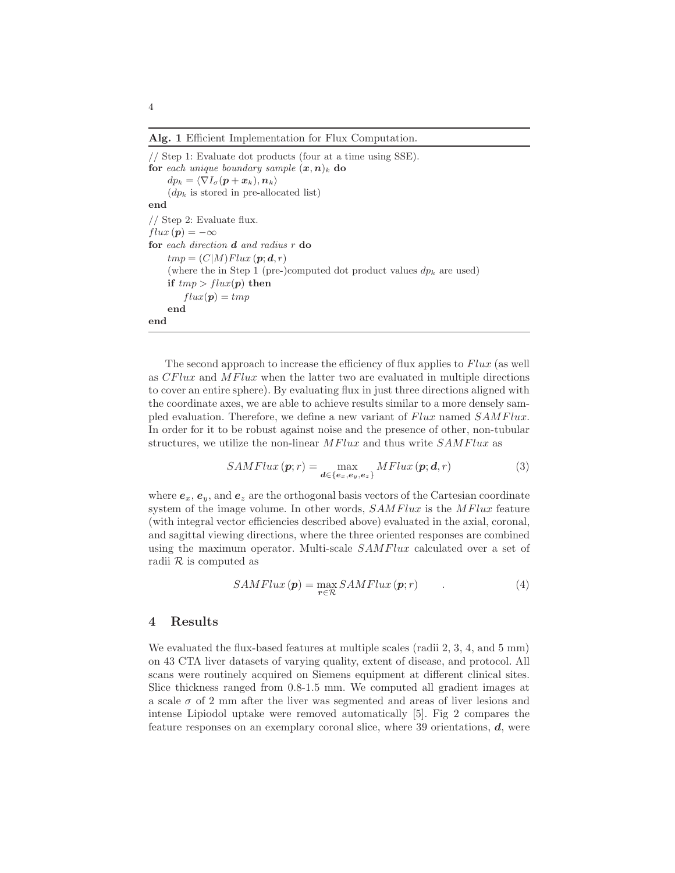Alg. 1 Efficient Implementation for Flux Computation.

// Step 1: Evaluate dot products (four at a time using SSE). for each unique boundary sample  $(x, n)_k$  do  $dp_k = \langle \nabla I_{\sigma}(\mathbf{p} + \mathbf{x}_k), \mathbf{n}_k \rangle$  $(dp_k$  is stored in pre-allocated list) end // Step 2: Evaluate flux.  $flux (p) = -\infty$ for each direction d and radius r do  $tmp = (C|M)Flux(p; d, r)$ (where the in Step 1 (pre-)computed dot product values  $dp_k$  are used) if  $tmp > flux(p)$  then  $flux(p) = tmp$ end end

The second approach to increase the efficiency of flux applies to  $Flux$  (as well as CFlux and MFlux when the latter two are evaluated in multiple directions to cover an entire sphere). By evaluating flux in just three directions aligned with the coordinate axes, we are able to achieve results similar to a more densely sampled evaluation. Therefore, we define a new variant of Flux named SAMFlux. In order for it to be robust against noise and the presence of other, non-tubular structures, we utilize the non-linear  $MFlux$  and thus write  $SAMFlux$  as

$$
SAMFlux\left(\boldsymbol{p};r\right) = \max_{\boldsymbol{d}\in\{e_x,e_y,e_z\}} MFlux\left(\boldsymbol{p};\boldsymbol{d},r\right) \tag{3}
$$

where  $e_x, e_y$ , and  $e_z$  are the orthogonal basis vectors of the Cartesian coordinate system of the image volume. In other words,  $SAMFlux$  is the MFlux feature (with integral vector efficiencies described above) evaluated in the axial, coronal, and sagittal viewing directions, where the three oriented responses are combined using the maximum operator. Multi-scale  $SAMFlux$  calculated over a set of radii  $\mathcal R$  is computed as

$$
SAMFlux\left(\boldsymbol{p}\right) = \max_{\boldsymbol{r}\in\mathcal{R}} SAMFlux\left(\boldsymbol{p};\boldsymbol{r}\right) \tag{4}
$$

### 4 Results

We evaluated the flux-based features at multiple scales (radii 2, 3, 4, and 5 mm) on 43 CTA liver datasets of varying quality, extent of disease, and protocol. All scans were routinely acquired on Siemens equipment at different clinical sites. Slice thickness ranged from 0.8-1.5 mm. We computed all gradient images at a scale  $\sigma$  of 2 mm after the liver was segmented and areas of liver lesions and intense Lipiodol uptake were removed automatically [5]. Fig 2 compares the feature responses on an exemplary coronal slice, where 39 orientations, d, were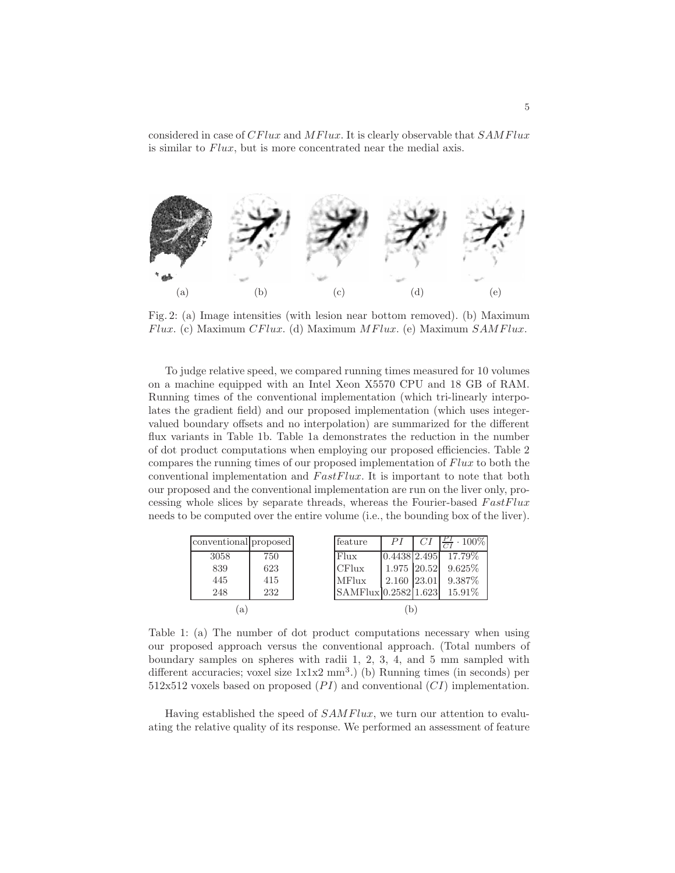considered in case of CFlux and MFlux. It is clearly observable that  $SAMFlux$ is similar to Flux, but is more concentrated near the medial axis.



Fig. 2: (a) Image intensities (with lesion near bottom removed). (b) Maximum  $Flux. (c) Maximum CFlux. (d) Maximum MFlux. (e) Maximum SAMFlux.$ 

To judge relative speed, we compared running times measured for 10 volumes on a machine equipped with an Intel Xeon X5570 CPU and 18 GB of RAM. Running times of the conventional implementation (which tri-linearly interpolates the gradient field) and our proposed implementation (which uses integervalued boundary offsets and no interpolation) are summarized for the different flux variants in Table 1b. Table 1a demonstrates the reduction in the number of dot product computations when employing our proposed efficiencies. Table 2 compares the running times of our proposed implementation of Flux to both the conventional implementation and  $FastFlux$ . It is important to note that both our proposed and the conventional implementation are run on the liver only, processing whole slices by separate threads, whereas the Fourier-based  $FastFlux$ needs to be computed over the entire volume (i.e., the bounding box of the liver).

| conventional proposed |     |   | feature              | PI          | CI | $\frac{PI}{CI} \cdot 100\%$ |
|-----------------------|-----|---|----------------------|-------------|----|-----------------------------|
| 3058                  | 750 |   | Flux                 |             |    | $ 0.4438 2.495 $ 17.79%     |
| 839                   | 623 |   | CFlux                | 1.975 20.52 |    | $9.625\%$                   |
| 445                   | 415 |   | <b>MFlux</b>         | 2.160 23.01 |    | 9.387%                      |
| 248                   | 232 |   | SAMFlux 0.2582 1.623 |             |    | $15.91\%$                   |
| a l                   |     | b |                      |             |    |                             |

Table 1: (a) The number of dot product computations necessary when using our proposed approach versus the conventional approach. (Total numbers of boundary samples on spheres with radii 1, 2, 3, 4, and 5 mm sampled with different accuracies; voxel size  $1x1x2$  mm<sup>3</sup>.) (b) Running times (in seconds) per  $512x512$  voxels based on proposed  $(PI)$  and conventional  $(CI)$  implementation.

Having established the speed of SAMFlux, we turn our attention to evaluating the relative quality of its response. We performed an assessment of feature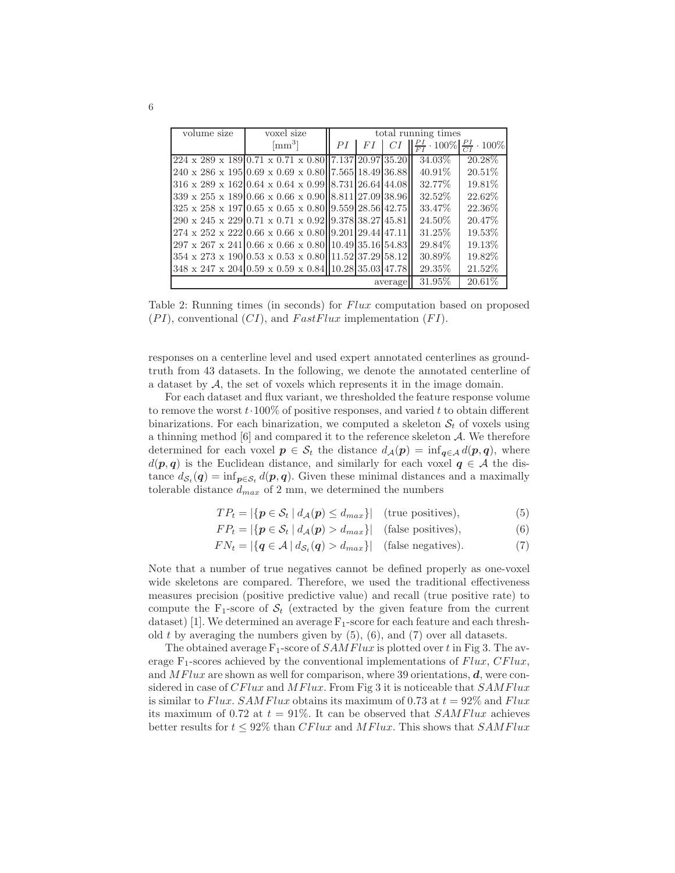| volume size<br>voxel size |                                                                                                          | total running times |    |    |                                                       |           |  |
|---------------------------|----------------------------------------------------------------------------------------------------------|---------------------|----|----|-------------------------------------------------------|-----------|--|
|                           | $\lceil \text{mm}^3 \rceil$                                                                              | РI                  | FI | CI | $\frac{PI}{FI} \cdot 100\% \frac{PI}{GI} \cdot 100\%$ |           |  |
|                           | $224 \times 289 \times 189 \times 0.71 \times 0.71 \times 0.80$   7.137 20.97 35.20                      |                     |    |    | 34.03%                                                | 20.28\%   |  |
|                           | 240 x 286 x 195 0.69 x 0.69 x 0.80 7.565 18.49 36.88                                                     |                     |    |    | $40.91\%$                                             | $20.51\%$ |  |
|                           | $316 \times 289 \times 162 \times 0.64 \times 0.64 \times 0.99 \times 731 \times 26.64 \times 44.08$     |                     |    |    | 32.77%                                                | 19.81\%   |  |
|                           | 339 x 255 x 1890.66 x 0.66 x 0.9008.81127.0938.96                                                        |                     |    |    | 32.52%                                                | 22.62%    |  |
|                           | $325 \times 258 \times 197 \mid 0.65 \times 0.65 \times 0.80 \mid \mid 9.559 \mid 28.56 \mid 42.75 \mid$ |                     |    |    | 33.47\%                                               | 22.36\%   |  |
|                           | 290 x 245 x 22910.71 x 0.71 x 0.92119.378138.27145.81                                                    |                     |    |    | 24.50\%                                               | 20.47\%   |  |
|                           | $274 \times 252 \times 22210.66 \times 0.66 \times 0.8019.201129.44147.11$                               |                     |    |    | 31.25\%                                               | 19.53%    |  |
|                           | $297 \times 267 \times 24110.66 \times 0.66 \times 0.80110.49135.16154.83$                               |                     |    |    | 29.84\%                                               | 19.13%    |  |
|                           | $354 \times 273 \times 19010.53 \times 0.53 \times 0.80111.52137.29158.12$                               |                     |    |    | 30.89\%                                               | 19.82\%   |  |
|                           | 348 x 247 x 204 0.59 x 0.59 x 0.84 10.28 35.03 47.78                                                     |                     |    |    | 29.35\%                                               | 21.52%    |  |
| average                   |                                                                                                          |                     |    |    | 31.95\%                                               | $20.61\%$ |  |

Table 2: Running times (in seconds) for Flux computation based on proposed  $(PI)$ , conventional  $(CI)$ , and  $FastFlux$  implementation  $(FI)$ .

responses on a centerline level and used expert annotated centerlines as groundtruth from 43 datasets. In the following, we denote the annotated centerline of a dataset by A, the set of voxels which represents it in the image domain.

For each dataset and flux variant, we thresholded the feature response volume to remove the worst  $t \cdot 100\%$  of positive responses, and varied t to obtain different binarizations. For each binarization, we computed a skeleton  $S_t$  of voxels using a thinning method  $[6]$  and compared it to the reference skeleton  $A$ . We therefore determined for each voxel  $p \in S_t$  the distance  $d_{\mathcal{A}}(p) = \inf_{q \in \mathcal{A}} d(p,q)$ , where  $d(p, q)$  is the Euclidean distance, and similarly for each voxel  $q \in A$  the distance  $d_{\mathcal{S}_t}(q) = \inf_{p \in \mathcal{S}_t} d(p, q)$ . Given these minimal distances and a maximally tolerable distance  $d_{max}$  of 2 mm, we determined the numbers

- $TP_t = |\{p \in \mathcal{S}_t \mid d_\mathcal{A}(p) \leq d_{max}\}|$  (true positives), (5)
- $FP_t = |\{p \in S_t \mid d_{\mathcal{A}}(p) > d_{max}\}|$  (false positives), (6)

$$
FN_t = |\{q \in \mathcal{A} \mid d_{\mathcal{S}_t}(q) > d_{max}\}| \quad \text{(false negatives)}.
$$
 (7)

Note that a number of true negatives cannot be defined properly as one-voxel wide skeletons are compared. Therefore, we used the traditional effectiveness measures precision (positive predictive value) and recall (true positive rate) to compute the  $F_1$ -score of  $S_t$  (extracted by the given feature from the current dataset) [1]. We determined an average  $F_1$ -score for each feature and each threshold t by averaging the numbers given by  $(5)$ ,  $(6)$ , and  $(7)$  over all datasets.

The obtained average  $F_1$ -score of  $SAMFlux$  is plotted over t in Fig 3. The average  $F_1$ -scores achieved by the conventional implementations of  $Flux, CFlux,$ and  $MFlux$  are shown as well for comparison, where 39 orientations,  $d$ , were considered in case of  $CFlux$  and  $MFlux$ . From Fig 3 it is noticeable that  $SAMFlux$ is similar to Flux. SAMFlux obtains its maximum of 0.73 at  $t = 92\%$  and Flux its maximum of 0.72 at  $t = 91\%$ . It can be observed that *SAMFlux* achieves better results for  $t \leq 92\%$  than CFlux and MFlux. This shows that SAMFlux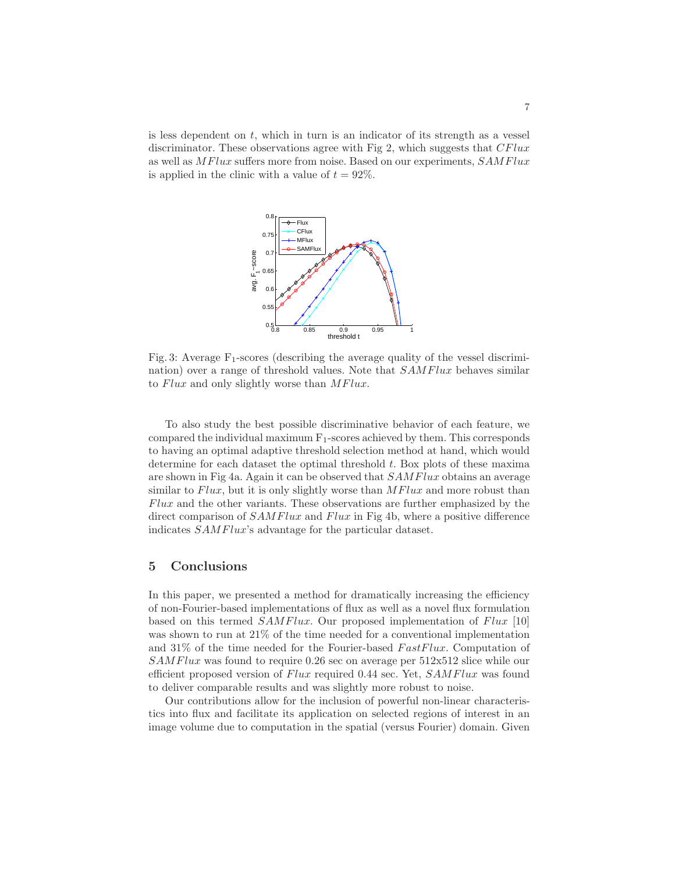is less dependent on  $t$ , which in turn is an indicator of its strength as a vessel discriminator. These observations agree with Fig 2, which suggests that  $CFlux$ as well as MFlux suffers more from noise. Based on our experiments, SAMFlux is applied in the clinic with a value of  $t = 92\%$ .



Fig. 3: Average  $F_1$ -scores (describing the average quality of the vessel discrimination) over a range of threshold values. Note that SAMFlux behaves similar to Flux and only slightly worse than MFlux.

To also study the best possible discriminative behavior of each feature, we compared the individual maximum  $F_1$ -scores achieved by them. This corresponds to having an optimal adaptive threshold selection method at hand, which would determine for each dataset the optimal threshold t. Box plots of these maxima are shown in Fig 4a. Again it can be observed that SAMFlux obtains an average similar to  $Flux$ , but it is only slightly worse than  $MFlux$  and more robust than Flux and the other variants. These observations are further emphasized by the direct comparison of  $SAMFlux$  and  $Flux$  in Fig 4b, where a positive difference indicates SAMFlux's advantage for the particular dataset.

## 5 Conclusions

In this paper, we presented a method for dramatically increasing the efficiency of non-Fourier-based implementations of flux as well as a novel flux formulation based on this termed  $SAMFlux$ . Our proposed implementation of  $Flux$  [10] was shown to run at 21% of the time needed for a conventional implementation and  $31\%$  of the time needed for the Fourier-based FastFlux. Computation of SAMFlux was found to require 0.26 sec on average per 512x512 slice while our efficient proposed version of Flux required 0.44 sec. Yet, SAMFlux was found to deliver comparable results and was slightly more robust to noise.

Our contributions allow for the inclusion of powerful non-linear characteristics into flux and facilitate its application on selected regions of interest in an image volume due to computation in the spatial (versus Fourier) domain. Given